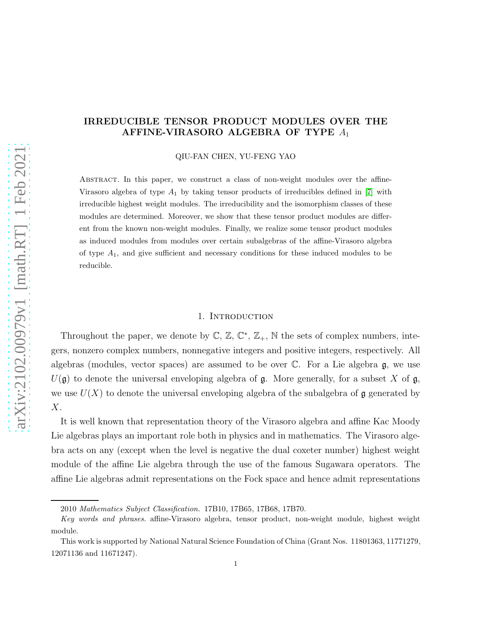# IRREDUCIBLE TENSOR PRODUCT MODULES OVER THE AFFINE-VIRASORO ALGEBRA OF TYPE  $A_1$

QIU-FAN CHEN, YU-FENG YAO

Abstract. In this paper, we construct a class of non-weight modules over the affine-Virasoro algebra of type  $A_1$  by taking tensor products of irreducibles defined in [\[7\]](#page-17-0) with irreducible highest weight modules. The irreducibility and the isomorphism classes of these modules are determined. Moreover, we show that these tensor product modules are different from the known non-weight modules. Finally, we realize some tensor product modules as induced modules from modules over certain subalgebras of the affine-Virasoro algebra of type  $A_1$ , and give sufficient and necessary conditions for these induced modules to be reducible.

# 1. INTRODUCTION

Throughout the paper, we denote by  $\mathbb{C}, \mathbb{Z}, \mathbb{C}^*, \mathbb{Z}_+, \mathbb{N}$  the sets of complex numbers, integers, nonzero complex numbers, nonnegative integers and positive integers, respectively. All algebras (modules, vector spaces) are assumed to be over  $\mathbb C$ . For a Lie algebra  $\mathfrak g$ , we use  $U(\mathfrak{g})$  to denote the universal enveloping algebra of  $\mathfrak{g}$ . More generally, for a subset X of  $\mathfrak{g}$ , we use  $U(X)$  to denote the universal enveloping algebra of the subalgebra of  $\mathfrak g$  generated by  $X$ .

It is well known that representation theory of the Virasoro algebra and affine Kac Moody Lie algebras plays an important role both in physics and in mathematics. The Virasoro algebra acts on any (except when the level is negative the dual coxeter number) highest weight module of the affine Lie algebra through the use of the famous Sugawara operators. The affine Lie algebras admit representations on the Fock space and hence admit representations

<sup>2010</sup> Mathematics Subject Classification. 17B10, 17B65, 17B68, 17B70.

Key words and phrases. affine-Virasoro algebra, tensor product, non-weight module, highest weight module.

This work is supported by National Natural Science Foundation of China (Grant Nos. 11801363, 11771279, 12071136 and 11671247).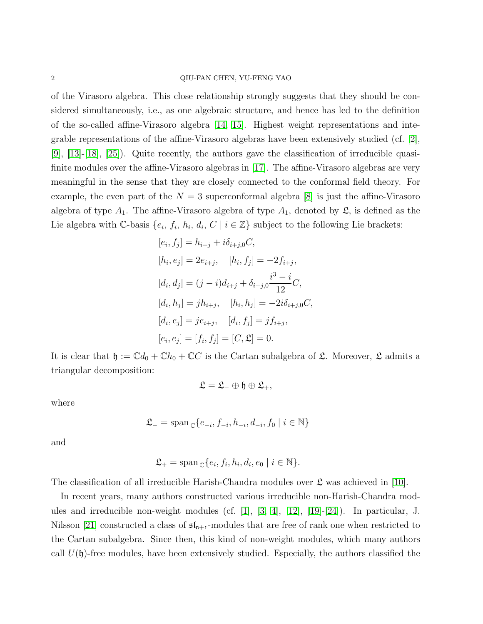#### 2 QIU-FAN CHEN, YU-FENG YAO

of the Virasoro algebra. This close relationship strongly suggests that they should be considered simultaneously, i.e., as one algebraic structure, and hence has led to the definition of the so-called affine-Virasoro algebra [\[14,](#page-17-1) [15\]](#page-17-2). Highest weight representations and integrable representations of the affine-Virasoro algebras have been extensively studied (cf. [\[2\]](#page-17-3), [\[9\]](#page-17-4), [\[13\]](#page-17-5)-[\[18\]](#page-17-6), [\[25\]](#page-18-0)). Quite recently, the authors gave the classification of irreducible quasifinite modules over the affine-Virasoro algebras in [\[17\]](#page-17-7). The affine-Virasoro algebras are very meaningful in the sense that they are closely connected to the conformal field theory. For example, the even part of the  $N = 3$  superconformal algebra [\[8\]](#page-17-8) is just the affine-Virasoro algebra of type  $A_1$ . The affine-Virasoro algebra of type  $A_1$ , denoted by  $\mathfrak{L}$ , is defined as the Lie algebra with C-basis  $\{e_i, f_i, h_i, d_i, C \mid i \in \mathbb{Z}\}\$  subject to the following Lie brackets:

$$
[e_i, f_j] = h_{i+j} + i\delta_{i+j,0}C,
$$
  
\n
$$
[h_i, e_j] = 2e_{i+j}, \quad [h_i, f_j] = -2f_{i+j},
$$
  
\n
$$
[d_i, d_j] = (j-i)d_{i+j} + \delta_{i+j,0}\frac{i^3 - i}{12}C,
$$
  
\n
$$
[d_i, h_j] = jh_{i+j}, \quad [h_i, h_j] = -2i\delta_{i+j,0}C,
$$
  
\n
$$
[d_i, e_j] = je_{i+j}, \quad [d_i, f_j] = jf_{i+j},
$$
  
\n
$$
[e_i, e_j] = [f_i, f_j] = [C, \mathfrak{L}] = 0.
$$

It is clear that  $\mathfrak{h} := \mathbb{C}d_0 + \mathbb{C}h_0 + \mathbb{C}C$  is the Cartan subalgebra of  $\mathfrak{L}$ . Moreover,  $\mathfrak{L}$  admits a triangular decomposition:

$$
\mathfrak{L}=\mathfrak{L}_-\oplus\mathfrak{h}\oplus\mathfrak{L}_+,
$$

where

$$
\mathfrak{L}_{-} = \operatorname{span}_{\mathbb{C}}\{e_{-i}, f_{-i}, h_{-i}, d_{-i}, f_0 \mid i \in \mathbb{N}\}
$$

and

$$
\mathfrak{L}_{+} = \operatorname{span}_{\mathbb{C}}\{e_i, f_i, h_i, d_i, e_0 \mid i \in \mathbb{N}\}.
$$

The classification of all irreducible Harish-Chandra modules over  $\mathfrak L$  was achieved in [\[10\]](#page-17-9).

In recent years, many authors constructed various irreducible non-Harish-Chandra modules and irreducible non-weight modules (cf. [\[1\]](#page-17-10), [\[3,](#page-17-11) [4\]](#page-17-12), [\[12\]](#page-17-13), [\[19\]](#page-17-14)-[\[24\]](#page-18-1)). In particular, J. Nilsson [\[21\]](#page-18-2) constructed a class of  $\mathfrak{sl}_{n+1}$ -modules that are free of rank one when restricted to the Cartan subalgebra. Since then, this kind of non-weight modules, which many authors call  $U(\mathfrak{h})$ -free modules, have been extensively studied. Especially, the authors classified the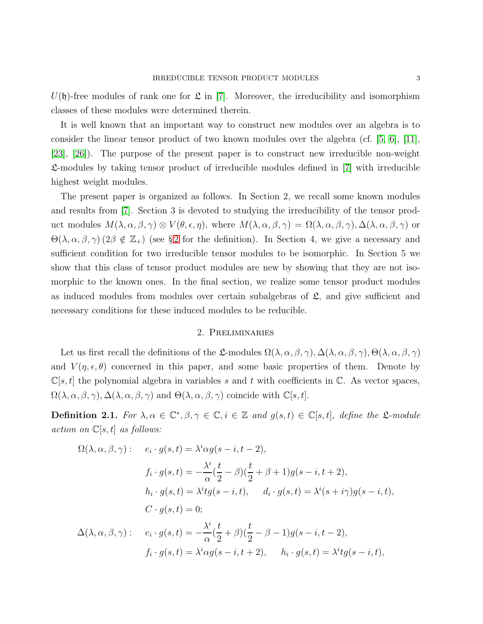$U(\mathfrak{h})$ -free modules of rank one for  $\mathfrak{L}$  in [\[7\]](#page-17-0). Moreover, the irreducibility and isomorphism classes of these modules were determined therein.

It is well known that an important way to construct new modules over an algebra is to consider the linear tensor product of two known modules over the algebra (cf.  $[5, 6]$  $[5, 6]$ ,  $[11]$ , [\[23\]](#page-18-3), [\[26\]](#page-18-4)). The purpose of the present paper is to construct new irreducible non-weight L-modules by taking tensor product of irreducible modules defined in [\[7\]](#page-17-0) with irreducible highest weight modules.

The present paper is organized as follows. In Section 2, we recall some known modules and results from [\[7\]](#page-17-0). Section 3 is devoted to studying the irreducibility of the tensor product modules  $M(\lambda, \alpha, \beta, \gamma) \otimes V(\theta, \epsilon, \eta)$ , where  $M(\lambda, \alpha, \beta, \gamma) = \Omega(\lambda, \alpha, \beta, \gamma)$ ,  $\Delta(\lambda, \alpha, \beta, \gamma)$  or  $\Theta(\lambda, \alpha, \beta, \gamma)$  ([2](#page-2-0) $\beta \notin \mathbb{Z}_+$ ) (see § 2 for the definition). In Section 4, we give a necessary and sufficient condition for two irreducible tensor modules to be isomorphic. In Section 5 we show that this class of tensor product modules are new by showing that they are not isomorphic to the known ones. In the final section, we realize some tensor product modules as induced modules from modules over certain subalgebras of  $\mathfrak{L}$ , and give sufficient and necessary conditions for these induced modules to be reducible.

## 2. Preliminaries

<span id="page-2-0"></span>Let us first recall the definitions of the L-modules  $\Omega(\lambda, \alpha, \beta, \gamma), \Delta(\lambda, \alpha, \beta, \gamma), \Theta(\lambda, \alpha, \beta, \gamma)$ and  $V(\eta, \epsilon, \theta)$  concerned in this paper, and some basic properties of them. Denote by  $\mathbb{C}[s,t]$  the polynomial algebra in variables s and t with coefficients in  $\mathbb{C}$ . As vector spaces,  $\Omega(\lambda, \alpha, \beta, \gamma), \Delta(\lambda, \alpha, \beta, \gamma)$  and  $\Theta(\lambda, \alpha, \beta, \gamma)$  coincide with  $\mathbb{C}[s, t]$ .

<span id="page-2-1"></span>**Definition 2.1.** For  $\lambda, \alpha \in \mathbb{C}^*, \beta, \gamma \in \mathbb{C}, i \in \mathbb{Z}$  and  $g(s,t) \in \mathbb{C}[s,t]$ , define the  $\mathfrak{L}\text{-}module$ *action on* C[s, t] *as follows:*

$$
\Omega(\lambda, \alpha, \beta, \gamma) : \quad e_i \cdot g(s, t) = \lambda^i \alpha g(s - i, t - 2),
$$
\n
$$
f_i \cdot g(s, t) = -\frac{\lambda^i}{\alpha} (\frac{t}{2} - \beta) (\frac{t}{2} + \beta + 1) g(s - i, t + 2),
$$
\n
$$
h_i \cdot g(s, t) = \lambda^i t g(s - i, t), \quad d_i \cdot g(s, t) = \lambda^i (s + i\gamma) g(s - i, t),
$$
\n
$$
C \cdot g(s, t) = 0;
$$
\n
$$
\Delta(\lambda, \alpha, \beta, \gamma) : \quad e_i \cdot g(s, t) = -\frac{\lambda^i}{\alpha} (\frac{t}{2} + \beta) (\frac{t}{2} - \beta - 1) g(s - i, t - 2),
$$
\n
$$
f_i \cdot g(s, t) = \lambda^i \alpha g(s - i, t + 2), \quad h_i \cdot g(s, t) = \lambda^i t g(s - i, t),
$$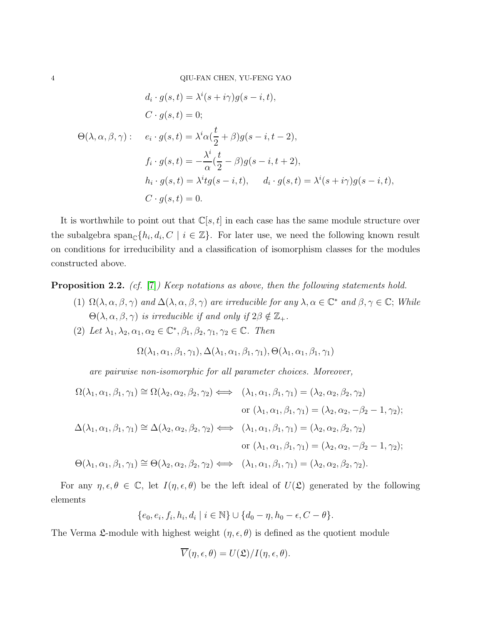$$
d_i \cdot g(s, t) = \lambda^i(s + i\gamma)g(s - i, t),
$$
  
\n
$$
C \cdot g(s, t) = 0;
$$
  
\n
$$
\Theta(\lambda, \alpha, \beta, \gamma): \quad e_i \cdot g(s, t) = \lambda^i \alpha(\frac{t}{2} + \beta)g(s - i, t - 2),
$$
  
\n
$$
f_i \cdot g(s, t) = -\frac{\lambda^i}{\alpha}(\frac{t}{2} - \beta)g(s - i, t + 2),
$$
  
\n
$$
h_i \cdot g(s, t) = \lambda^i t g(s - i, t), \quad d_i \cdot g(s, t) = \lambda^i(s + i\gamma)g(s - i, t),
$$
  
\n
$$
C \cdot g(s, t) = 0.
$$

It is worthwhile to point out that  $\mathbb{C}[s,t]$  in each case has the same module structure over the subalgebra  $\text{span}_{\mathbb{C}}\{h_i, d_i, C \mid i \in \mathbb{Z}\}\.$  For later use, we need the following known result on conditions for irreducibility and a classification of isomorphism classes for the modules constructed above.

<span id="page-3-0"></span>Proposition 2.2. *(cf.* [\[7\]](#page-17-0)*) Keep notations as above, then the following statements hold.*

- (1)  $\Omega(\lambda, \alpha, \beta, \gamma)$  *and*  $\Delta(\lambda, \alpha, \beta, \gamma)$  *are irreducible for any*  $\lambda, \alpha \in \mathbb{C}^*$  *and*  $\beta, \gamma \in \mathbb{C}$ ; *While*  $Θ(λ, α, β, γ)$  *is irreducible if and only if*  $2β \notin \mathbb{Z}_+$ *.*
- (2) Let  $\lambda_1, \lambda_2, \alpha_1, \alpha_2 \in \mathbb{C}^*, \beta_1, \beta_2, \gamma_1, \gamma_2 \in \mathbb{C}$ . Then

$$
\Omega(\lambda_1, \alpha_1, \beta_1, \gamma_1), \Delta(\lambda_1, \alpha_1, \beta_1, \gamma_1), \Theta(\lambda_1, \alpha_1, \beta_1, \gamma_1)
$$

*are pairwise non-isomorphic for all parameter choices. Moreover,*

$$
\Omega(\lambda_1, \alpha_1, \beta_1, \gamma_1) \cong \Omega(\lambda_2, \alpha_2, \beta_2, \gamma_2) \iff (\lambda_1, \alpha_1, \beta_1, \gamma_1) = (\lambda_2, \alpha_2, \beta_2, \gamma_2)
$$
  
or  $(\lambda_1, \alpha_1, \beta_1, \gamma_1) = (\lambda_2, \alpha_2, -\beta_2 - 1, \gamma_2);$   

$$
\Delta(\lambda_1, \alpha_1, \beta_1, \gamma_1) \cong \Delta(\lambda_2, \alpha_2, \beta_2, \gamma_2) \iff (\lambda_1, \alpha_1, \beta_1, \gamma_1) = (\lambda_2, \alpha_2, \beta_2, \gamma_2)
$$
  
or  $(\lambda_1, \alpha_1, \beta_1, \gamma_1) = (\lambda_2, \alpha_2, -\beta_2 - 1, \gamma_2);$   

$$
\Theta(\lambda_1, \alpha_1, \beta_1, \gamma_1) \cong \Theta(\lambda_2, \alpha_2, \beta_2, \gamma_2) \iff (\lambda_1, \alpha_1, \beta_1, \gamma_1) = (\lambda_2, \alpha_2, \beta_2, \gamma_2).
$$

For any  $\eta, \epsilon, \theta \in \mathbb{C}$ , let  $I(\eta, \epsilon, \theta)$  be the left ideal of  $U(\mathfrak{L})$  generated by the following elements

$$
\{e_0, e_i, f_i, h_i, d_i \mid i \in \mathbb{N}\} \cup \{d_0 - \eta, h_0 - \epsilon, C - \theta\}.
$$

The Verma  $\mathfrak{L}$ -module with highest weight  $(\eta, \epsilon, \theta)$  is defined as the quotient module

$$
\overline{V}(\eta,\epsilon,\theta) = U(\mathfrak{L})/I(\eta,\epsilon,\theta).
$$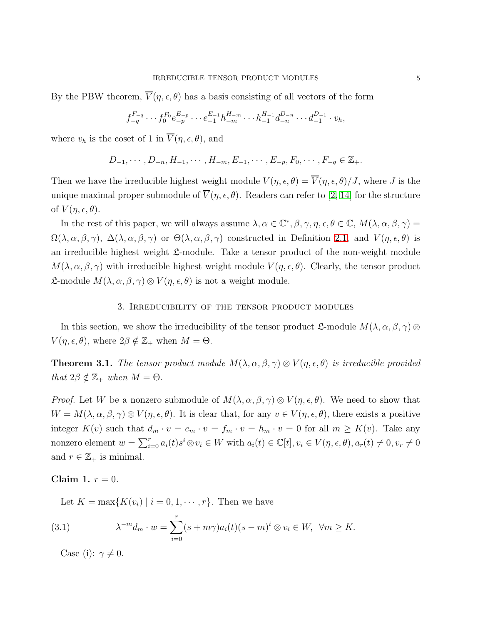By the PBW theorem,  $\overline{V}(\eta, \epsilon, \theta)$  has a basis consisting of all vectors of the form

$$
f_{-q}^{F_{-q}} \cdots f_0^{F_0} e_{-p}^{E_{-p}} \cdots e_{-1}^{E_{-1}} h_{-m}^{H_{-m}} \cdots h_{-1}^{H_{-1}} d_{-n}^{D_{-n}} \cdots d_{-1}^{D_{-1}} \cdot v_h,
$$

where  $v_h$  is the coset of 1 in  $\overline{V}(\eta, \epsilon, \theta)$ , and

$$
D_{-1}, \cdots, D_{-n}, H_{-1}, \cdots, H_{-m}, E_{-1}, \cdots, E_{-p}, F_0, \cdots, F_{-q} \in \mathbb{Z}_+.
$$

Then we have the irreducible highest weight module  $V(\eta, \epsilon, \theta) = \overline{V}(\eta, \epsilon, \theta)/J$ , where J is the unique maximal proper submodule of  $\overline{V}(\eta, \epsilon, \theta)$ . Readers can refer to [\[2,](#page-17-3) [14\]](#page-17-1) for the structure of  $V(\eta, \epsilon, \theta)$ .

In the rest of this paper, we will always assume  $\lambda, \alpha \in \mathbb{C}^*, \beta, \gamma, \eta, \epsilon, \theta \in \mathbb{C}, M(\lambda, \alpha, \beta, \gamma) =$  $\Omega(\lambda, \alpha, \beta, \gamma)$ ,  $\Delta(\lambda, \alpha, \beta, \gamma)$  or  $\Theta(\lambda, \alpha, \beta, \gamma)$  constructed in Definition [2.1,](#page-2-1) and  $V(\eta, \epsilon, \theta)$  is an irreducible highest weight  $\mathfrak{L}\text{-module}$ . Take a tensor product of the non-weight module  $M(\lambda, \alpha, \beta, \gamma)$  with irreducible highest weight module  $V(\eta, \epsilon, \theta)$ . Clearly, the tensor product **L**-module  $M(\lambda, \alpha, \beta, \gamma) \otimes V(\eta, \epsilon, \theta)$  is not a weight module.

# 3. Irreducibility of the tensor product modules

In this section, we show the irreducibility of the tensor product  $\mathfrak{L}\text{-module }M(\lambda,\alpha,\beta,\gamma)\otimes$  $V(\eta, \epsilon, \theta)$ , where  $2\beta \notin \mathbb{Z}_+$  when  $M = \Theta$ .

<span id="page-4-2"></span>**Theorem 3.1.** The tensor product module  $M(\lambda, \alpha, \beta, \gamma) \otimes V(\eta, \epsilon, \theta)$  is irreducible provided *that*  $2\beta \notin \mathbb{Z}_+$  *when*  $M = \Theta$ *.* 

*Proof.* Let W be a nonzero submodule of  $M(\lambda, \alpha, \beta, \gamma) \otimes V(\eta, \epsilon, \theta)$ . We need to show that  $W = M(\lambda, \alpha, \beta, \gamma) \otimes V(\eta, \epsilon, \theta)$ . It is clear that, for any  $v \in V(\eta, \epsilon, \theta)$ , there exists a positive integer  $K(v)$  such that  $d_m \cdot v = e_m \cdot v = f_m \cdot v = h_m \cdot v = 0$  for all  $m \geq K(v)$ . Take any nonzero element  $w = \sum_{i=0}^r a_i(t)s^i \otimes v_i \in W$  with  $a_i(t) \in \mathbb{C}[t], v_i \in V(\eta, \epsilon, \theta), a_r(t) \neq 0, v_r \neq 0$ and  $r \in \mathbb{Z}_+$  is minimal.

# <span id="page-4-1"></span>Claim 1.  $r = 0$ .

<span id="page-4-0"></span>Let  $K = \max\{K(v_i) \mid i = 0, 1, \dots, r\}$ . Then we have

(3.1) 
$$
\lambda^{-m} d_m \cdot w = \sum_{i=0}^r (s + m\gamma) a_i(t) (s - m)^i \otimes v_i \in W, \ \forall m \ge K.
$$

Case (i):  $\gamma \neq 0$ .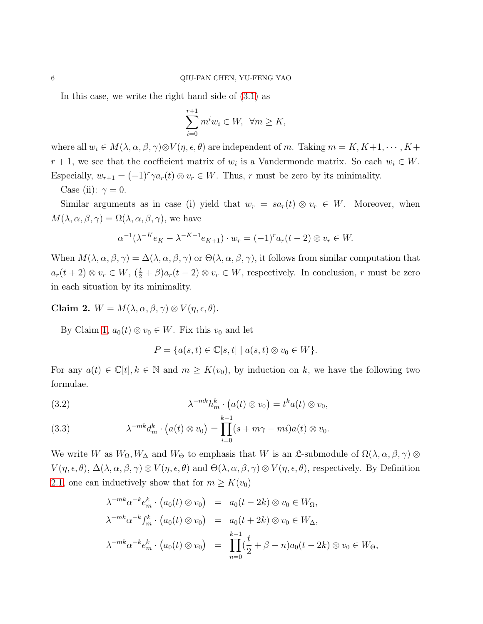In this case, we write the right hand side of [\(3.1\)](#page-4-0) as

$$
\sum_{i=0}^{r+1} m^i w_i \in W, \ \ \forall m \geq K,
$$

where all  $w_i \in M(\lambda, \alpha, \beta, \gamma) \otimes V(\eta, \epsilon, \theta)$  are independent of m. Taking  $m = K, K+1, \cdots, K+$  $r+1$ , we see that the coefficient matrix of  $w_i$  is a Vandermonde matrix. So each  $w_i \in W$ . Especially,  $w_{r+1} = (-1)^r \gamma a_r(t) \otimes v_r \in W$ . Thus, r must be zero by its minimality.

Case (ii):  $\gamma = 0$ .

Similar arguments as in case (i) yield that  $w_r = sa_r(t) \otimes v_r \in W$ . Moreover, when  $M(\lambda, \alpha, \beta, \gamma) = \Omega(\lambda, \alpha, \beta, \gamma)$ , we have

$$
\alpha^{-1}(\lambda^{-K}e_K - \lambda^{-K-1}e_{K+1}) \cdot w_r = (-1)^r a_r(t-2) \otimes v_r \in W.
$$

When  $M(\lambda, \alpha, \beta, \gamma) = \Delta(\lambda, \alpha, \beta, \gamma)$  or  $\Theta(\lambda, \alpha, \beta, \gamma)$ , it follows from similar computation that  $a_r(t+2) \otimes v_r \in W$ ,  $(\frac{t}{2} + \beta)a_r(t-2) \otimes v_r \in W$ , respectively. In conclusion, r must be zero in each situation by its minimality.

Claim 2.  $W = M(\lambda, \alpha, \beta, \gamma) \otimes V(\eta, \epsilon, \theta)$ .

By Claim [1,](#page-4-1)  $a_0(t) \otimes v_0 \in W$ . Fix this  $v_0$  and let

<span id="page-5-0"></span>
$$
P = \{a(s,t) \in \mathbb{C}[s,t] \mid a(s,t) \otimes v_0 \in W\}.
$$

For any  $a(t) \in \mathbb{C}[t], k \in \mathbb{N}$  and  $m \geq K(v_0)$ , by induction on k, we have the following two formulae.

(3.2) 
$$
\lambda^{-mk} h_m^k \cdot \big(a(t) \otimes v_0\big) = t^k a(t) \otimes v_0,
$$

(3.3) 
$$
\lambda^{-mk} d_m^k \cdot \left( a(t) \otimes v_0 \right) = \prod_{i=0}^{k-1} (s + m\gamma - mi) a(t) \otimes v_0.
$$

We write W as  $W_{\Omega}, W_{\Delta}$  and  $W_{\Theta}$  to emphasis that W is an  $\mathfrak{L}$ -submodule of  $\Omega(\lambda, \alpha, \beta, \gamma)$  ⊗  $V(\eta,\epsilon,\theta), \Delta(\lambda,\alpha,\beta,\gamma) \otimes V(\eta,\epsilon,\theta)$  and  $\Theta(\lambda,\alpha,\beta,\gamma) \otimes V(\eta,\epsilon,\theta)$ , respectively. By Definition [2.1,](#page-2-1) one can inductively show that for  $m \geq K(v_0)$ 

$$
\lambda^{-mk} \alpha^{-k} e_m^k \cdot (a_0(t) \otimes v_0) = a_0(t - 2k) \otimes v_0 \in W_{\Omega},
$$
  
\n
$$
\lambda^{-mk} \alpha^{-k} f_m^k \cdot (a_0(t) \otimes v_0) = a_0(t + 2k) \otimes v_0 \in W_{\Delta},
$$
  
\n
$$
\lambda^{-mk} \alpha^{-k} e_m^k \cdot (a_0(t) \otimes v_0) = \prod_{n=0}^{k-1} (\frac{t}{2} + \beta - n) a_0(t - 2k) \otimes v_0 \in W_{\Theta},
$$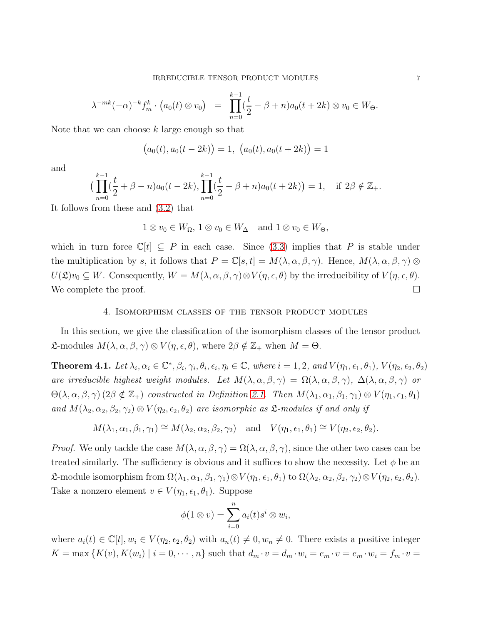$$
\lambda^{-mk}(-\alpha)^{-k}f_m^k \cdot (a_0(t) \otimes v_0) = \prod_{n=0}^{k-1} (\frac{t}{2} - \beta + n)a_0(t + 2k) \otimes v_0 \in W_{\Theta}.
$$

Note that we can choose  $k$  large enough so that

$$
(a_0(t), a_0(t-2k)) = 1, (a_0(t), a_0(t+2k)) = 1
$$

and

$$
\left(\prod_{n=0}^{k-1} \left(\frac{t}{2} + \beta - n\right) a_0(t - 2k), \prod_{n=0}^{k-1} \left(\frac{t}{2} - \beta + n\right) a_0(t + 2k)\right) = 1, \quad \text{if } 2\beta \notin \mathbb{Z}_+.
$$

It follows from these and [\(3.2\)](#page-5-0) that

$$
1 \otimes v_0 \in W_{\Omega}, 1 \otimes v_0 \in W_{\Delta}
$$
 and  $1 \otimes v_0 \in W_{\Theta}$ ,

which in turn force  $\mathbb{C}[t] \subseteq P$  in each case. Since [\(3.3\)](#page-5-0) implies that P is stable under the multiplication by s, it follows that  $P = \mathbb{C}[s,t] = M(\lambda,\alpha,\beta,\gamma)$ . Hence,  $M(\lambda,\alpha,\beta,\gamma)$  $U(\mathfrak{L})v_0 \subseteq W$ . Consequently,  $W = M(\lambda, \alpha, \beta, \gamma) \otimes V(\eta, \epsilon, \theta)$  by the irreducibility of  $V(\eta, \epsilon, \theta)$ . We complete the proof.  $\Box$ 

#### 4. Isomorphism classes of the tensor product modules

In this section, we give the classification of the isomorphism classes of the tensor product **L**-modules  $M(\lambda, \alpha, \beta, \gamma) \otimes V(\eta, \epsilon, \theta)$ , where  $2\beta \notin \mathbb{Z}_+$  when  $M = \Theta$ .

**Theorem 4.1.** Let  $\lambda_i, \alpha_i \in \mathbb{C}^*, \beta_i, \gamma_i, \theta_i, \epsilon_i, \eta_i \in \mathbb{C}$ , where  $i = 1, 2$ , and  $V(\eta_1, \epsilon_1, \theta_1)$ ,  $V(\eta_2, \epsilon_2, \theta_2)$ *are irreducible highest weight modules. Let*  $M(\lambda, \alpha, \beta, \gamma) = \Omega(\lambda, \alpha, \beta, \gamma)$ ,  $\Delta(\lambda, \alpha, \beta, \gamma)$  *or*  $\Theta(\lambda, \alpha, \beta, \gamma)$  (2 $\beta \notin \mathbb{Z}_+$ ) *constructed in Definition* [2.1.](#page-2-1) *Then*  $M(\lambda_1, \alpha_1, \beta_1, \gamma_1) \otimes V(\eta_1, \epsilon_1, \theta_1)$ *and*  $M(\lambda_2, \alpha_2, \beta_2, \gamma_2) \otimes V(\eta_2, \epsilon_2, \theta_2)$  *are isomorphic as*  $\mathfrak{L}$ *-modules if and only if* 

 $M(\lambda_1, \alpha_1, \beta_1, \gamma_1) \cong M(\lambda_2, \alpha_2, \beta_2, \gamma_2)$  and  $V(\eta_1, \epsilon_1, \theta_1) \cong V(\eta_2, \epsilon_2, \theta_2)$ .

*Proof.* We only tackle the case  $M(\lambda, \alpha, \beta, \gamma) = \Omega(\lambda, \alpha, \beta, \gamma)$ , since the other two cases can be treated similarly. The sufficiency is obvious and it suffices to show the necessity. Let  $\phi$  be an **L**-module isomorphism from  $\Omega(\lambda_1, \alpha_1, \beta_1, \gamma_1) \otimes V(\eta_1, \epsilon_1, \theta_1)$  to  $\Omega(\lambda_2, \alpha_2, \beta_2, \gamma_2) \otimes V(\eta_2, \epsilon_2, \theta_2)$ . Take a nonzero element  $v \in V(\eta_1, \epsilon_1, \theta_1)$ . Suppose

$$
\phi(1\otimes v)=\sum_{i=0}^n a_i(t)s^i\otimes w_i,
$$

where  $a_i(t) \in \mathbb{C}[t], w_i \in V(\eta_2, \epsilon_2, \theta_2)$  with  $a_n(t) \neq 0, w_n \neq 0$ . There exists a positive integer  $K = \max\{K(v), K(w_i) \mid i = 0, \cdots, n\}$  such that  $d_m \cdot v = d_m \cdot w_i = e_m \cdot v = e_m \cdot w_i = f_m \cdot v = f_m \cdot v$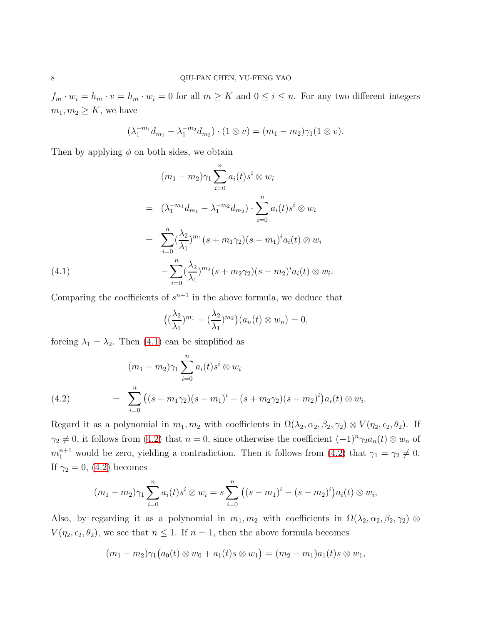$f_m \cdot w_i = h_m \cdot v = h_m \cdot w_i = 0$  for all  $m \geq K$  and  $0 \leq i \leq n$ . For any two different integers  $m_1, m_2 \geq K$ , we have

<span id="page-7-0"></span>
$$
(\lambda_1^{-m_1}d_{m_1}-\lambda_1^{-m_2}d_{m_2})\cdot(1\otimes v)=(m_1-m_2)\gamma_1(1\otimes v).
$$

Then by applying  $\phi$  on both sides, we obtain

$$
(m_1 - m_2)\gamma_1 \sum_{i=0}^n a_i(t)s^i \otimes w_i
$$
  
=  $(\lambda_1^{-m_1}d_{m_1} - \lambda_1^{-m_2}d_{m_2}) \cdot \sum_{i=0}^n a_i(t)s^i \otimes w_i$   
=  $\sum_{i=0}^n (\frac{\lambda_2}{\lambda_1})^{m_1}(s + m_1\gamma_2)(s - m_1)^i a_i(t) \otimes w_i$   
(4.1)
$$
- \sum_{i=0}^n (\frac{\lambda_2}{\lambda_1})^{m_2}(s + m_2\gamma_2)(s - m_2)^i a_i(t) \otimes w_i.
$$

Comparing the coefficients of  $s^{n+1}$  in the above formula, we deduce that

$$
\big((\frac{\lambda_2}{\lambda_1})^{m_1}-(\frac{\lambda_2}{\lambda_1})^{m_2}\big)(a_n(t)\otimes w_n)=0,
$$

forcing  $\lambda_1 = \lambda_2$ . Then [\(4.1\)](#page-7-0) can be simplified as

<span id="page-7-1"></span>(4.2) 
$$
(m_1 - m_2)\gamma_1 \sum_{i=0}^n a_i(t)s^i \otimes w_i
$$

$$
= \sum_{i=0}^n ((s + m_1\gamma_2)(s - m_1)^i - (s + m_2\gamma_2)(s - m_2)^i)a_i(t) \otimes w_i.
$$

Regard it as a polynomial in  $m_1, m_2$  with coefficients in  $\Omega(\lambda_2, \alpha_2, \beta_2, \gamma_2) \otimes V(\eta_2, \epsilon_2, \theta_2)$ . If  $\gamma_2 \neq 0$ , it follows from [\(4.2\)](#page-7-1) that  $n = 0$ , since otherwise the coefficient  $(-1)^n \gamma_2 a_n(t) \otimes w_n$  of  $m_1^{n+1}$  would be zero, yielding a contradiction. Then it follows from [\(4.2\)](#page-7-1) that  $\gamma_1 = \gamma_2 \neq 0$ . If  $\gamma_2 = 0$ , [\(4.2\)](#page-7-1) becomes

$$
(m_1 - m_2)\gamma_1 \sum_{i=0}^n a_i(t) s^i \otimes w_i = s \sum_{i=0}^n ((s - m_1)^i - (s - m_2)^i) a_i(t) \otimes w_i,
$$

Also, by regarding it as a polynomial in  $m_1, m_2$  with coefficients in  $\Omega(\lambda_2, \alpha_2, \beta_2, \gamma_2)$  ⊗  $V(\eta_2, \epsilon_2, \theta_2)$ , we see that  $n \leq 1$ . If  $n = 1$ , then the above formula becomes

$$
(m_1 - m_2)\gamma_1(a_0(t) \otimes w_0 + a_1(t)s \otimes w_1) = (m_2 - m_1)a_1(t)s \otimes w_1,
$$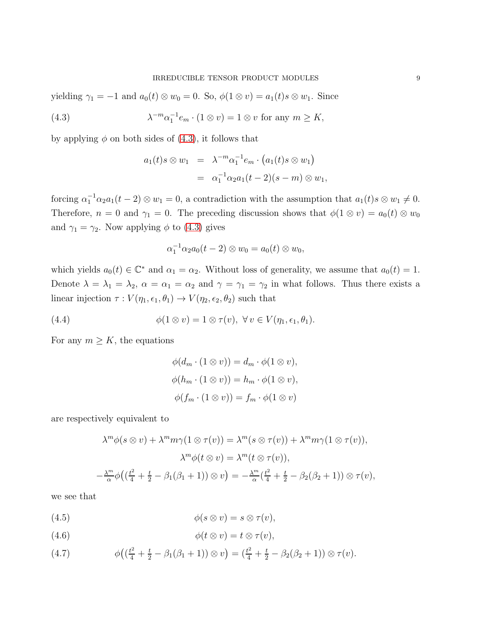yielding  $\gamma_1 = -1$  and  $a_0(t) \otimes w_0 = 0$ . So,  $\phi(1 \otimes v) = a_1(t)s \otimes w_1$ . Since

(4.3) 
$$
\lambda^{-m} \alpha_1^{-1} e_m \cdot (1 \otimes v) = 1 \otimes v \text{ for any } m \geq K,
$$

by applying  $\phi$  on both sides of [\(4.3\)](#page-8-0), it follows that

<span id="page-8-0"></span>
$$
a_1(t)s \otimes w_1 = \lambda^{-m} \alpha_1^{-1} e_m \cdot (a_1(t)s \otimes w_1)
$$
  
=  $\alpha_1^{-1} \alpha_2 a_1(t-2)(s-m) \otimes w_1,$ 

forcing  $\alpha_1^{-1} \alpha_2 a_1(t-2) \otimes w_1 = 0$ , a contradiction with the assumption that  $a_1(t) s \otimes w_1 \neq 0$ . Therefore,  $n = 0$  and  $\gamma_1 = 0$ . The preceding discussion shows that  $\phi(1 \otimes v) = a_0(t) \otimes w_0$ and  $\gamma_1 = \gamma_2$ . Now applying  $\phi$  to [\(4.3\)](#page-8-0) gives

$$
\alpha_1^{-1} \alpha_2 a_0(t-2) \otimes w_0 = a_0(t) \otimes w_0,
$$

which yields  $a_0(t) \in \mathbb{C}^*$  and  $\alpha_1 = \alpha_2$ . Without loss of generality, we assume that  $a_0(t) = 1$ . Denote  $\lambda = \lambda_1 = \lambda_2$ ,  $\alpha = \alpha_1 = \alpha_2$  and  $\gamma = \gamma_1 = \gamma_2$  in what follows. Thus there exists a linear injection  $\tau : V(\eta_1, \epsilon_1, \theta_1) \to V(\eta_2, \epsilon_2, \theta_2)$  such that

(4.4) 
$$
\phi(1 \otimes v) = 1 \otimes \tau(v), \ \forall v \in V(\eta_1, \epsilon_1, \theta_1).
$$

For any  $m \geq K$ , the equations

<span id="page-8-2"></span>
$$
\phi(d_m \cdot (1 \otimes v)) = d_m \cdot \phi(1 \otimes v),
$$
  

$$
\phi(h_m \cdot (1 \otimes v)) = h_m \cdot \phi(1 \otimes v),
$$
  

$$
\phi(f_m \cdot (1 \otimes v)) = f_m \cdot \phi(1 \otimes v)
$$

are respectively equivalent to

$$
\lambda^m \phi(s \otimes v) + \lambda^m m \gamma(1 \otimes \tau(v)) = \lambda^m (s \otimes \tau(v)) + \lambda^m m \gamma(1 \otimes \tau(v)),
$$
  

$$
\lambda^m \phi(t \otimes v) = \lambda^m (t \otimes \tau(v)),
$$
  

$$
-\frac{\lambda^m}{\alpha} \phi\left(\left(\frac{t^2}{4} + \frac{t}{2} - \beta_1(\beta_1 + 1)\right) \otimes v\right) = -\frac{\lambda^m}{\alpha} \left(\frac{t^2}{4} + \frac{t}{2} - \beta_2(\beta_2 + 1)\right) \otimes \tau(v),
$$

we see that

<span id="page-8-1"></span>
$$
(4.5) \qquad \qquad \phi(s \otimes v) = s \otimes \tau(v),
$$

$$
(4.6) \t\t \t\t \phi(t \otimes v) = t \otimes \tau(v),
$$

(4.7) 
$$
\phi\left(\left(\frac{t^2}{4} + \frac{t}{2} - \beta_1(\beta_1 + 1)\right) \otimes v\right) = \left(\frac{t^2}{4} + \frac{t}{2} - \beta_2(\beta_2 + 1)\right) \otimes \tau(v).
$$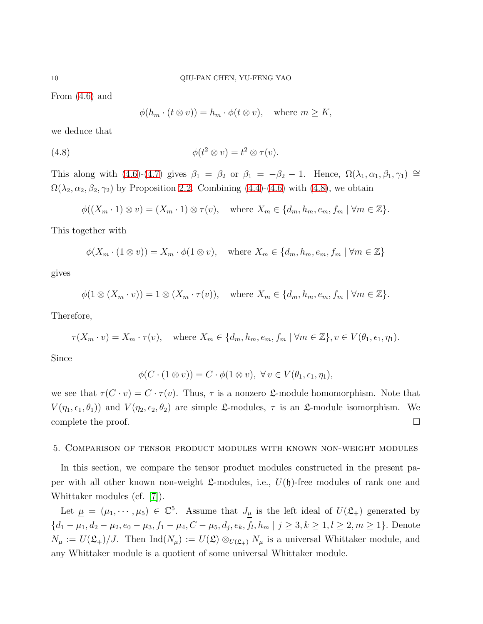From [\(4.6\)](#page-8-1) and

<span id="page-9-0"></span>
$$
\phi(h_m \cdot (t \otimes v)) = h_m \cdot \phi(t \otimes v), \quad \text{where } m \ge K,
$$

we deduce that

(4.8) 
$$
\phi(t^2 \otimes v) = t^2 \otimes \tau(v).
$$

This along with [\(4.6\)](#page-8-1)-[\(4.7\)](#page-8-1) gives  $\beta_1 = \beta_2$  or  $\beta_1 = -\beta_2 - 1$ . Hence,  $\Omega(\lambda_1, \alpha_1, \beta_1, \gamma_1) \cong$  $\Omega(\lambda_2, \alpha_2, \beta_2, \gamma_2)$  by Proposition [2.2.](#page-3-0) Combining [\(4.4\)](#page-8-2)-[\(4.6\)](#page-8-1) with [\(4.8\)](#page-9-0), we obtain

$$
\phi((X_m \cdot 1) \otimes v) = (X_m \cdot 1) \otimes \tau(v), \quad \text{where } X_m \in \{d_m, h_m, e_m, f_m \mid \forall m \in \mathbb{Z}\}.
$$

This together with

$$
\phi(X_m \cdot (1 \otimes v)) = X_m \cdot \phi(1 \otimes v), \quad \text{where } X_m \in \{d_m, h_m, e_m, f_m \mid \forall m \in \mathbb{Z}\}
$$

gives

$$
\phi(1 \otimes (X_m \cdot v)) = 1 \otimes (X_m \cdot \tau(v)), \quad \text{where } X_m \in \{d_m, h_m, e_m, f_m \mid \forall m \in \mathbb{Z}\}.
$$

Therefore,

$$
\tau(X_m \cdot v) = X_m \cdot \tau(v), \quad \text{where } X_m \in \{d_m, h_m, e_m, f_m \mid \forall m \in \mathbb{Z}\}, v \in V(\theta_1, \epsilon_1, \eta_1).
$$

Since

$$
\phi(C \cdot (1 \otimes v)) = C \cdot \phi(1 \otimes v), \ \forall v \in V(\theta_1, \epsilon_1, \eta_1),
$$

we see that  $\tau(C \cdot v) = C \cdot \tau(v)$ . Thus,  $\tau$  is a nonzero  $\mathfrak{L}$ -module homomorphism. Note that  $V(\eta_1, \epsilon_1, \theta_1)$  and  $V(\eta_2, \epsilon_2, \theta_2)$  are simple  $\mathfrak{L}$ -modules,  $\tau$  is an  $\mathfrak{L}$ -module isomorphism. We complete the proof.  $\Box$ 

## 5. Comparison of tensor product modules with known non-weight modules

In this section, we compare the tensor product modules constructed in the present paper with all other known non-weight  $\mathfrak{L}$ -modules, i.e.,  $U(\mathfrak{h})$ -free modules of rank one and Whittaker modules (cf. [\[7\]](#page-17-0)).

Let  $\mu = (\mu_1, \dots, \mu_5) \in \mathbb{C}^5$ . Assume that  $J_\mu$  is the left ideal of  $U(\mathfrak{L}_{+})$  generated by  $\{d_1 - \mu_1, d_2 - \mu_2, e_0 - \mu_3, f_1 - \mu_4, C - \mu_5, d_j, e_k, f_l, h_m \mid j \geq 3, k \geq 1, l \geq 2, m \geq 1\}$ . Denote  $N_{\mu} := U(\mathfrak{L}_+)/J$ . Then  $\text{Ind}(N_{\mu}) := U(\mathfrak{L}) \otimes_{U(\mathfrak{L}_+)} N_{\mu}$  is a universal Whittaker module, and any Whittaker module is a quotient of some universal Whittaker module.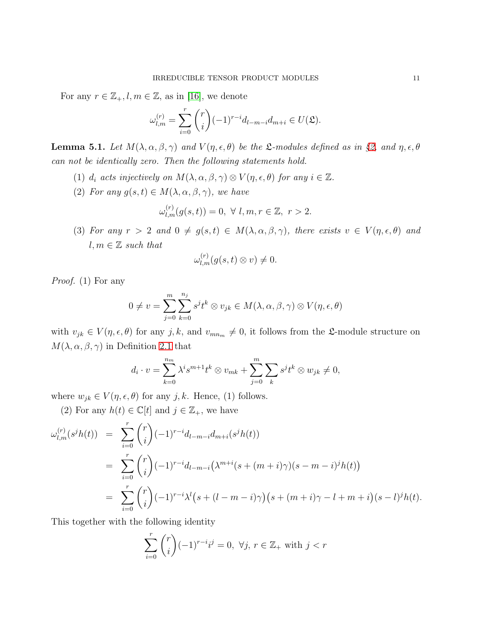For any  $r \in \mathbb{Z}_+, l, m \in \mathbb{Z}$ , as in [\[16\]](#page-17-18), we denote

$$
\omega_{l,m}^{(r)} = \sum_{i=0}^r \binom{r}{i} (-1)^{r-i} d_{l-m-i} d_{m+i} \in U(\mathfrak{L}).
$$

<span id="page-10-0"></span>**Lemma 5.1.** Let  $M(\lambda, \alpha, \beta, \gamma)$  and  $V(\eta, \epsilon, \theta)$  be the  $\mathcal{L}\text{-modules defined as in §2, and } \eta, \epsilon, \theta$  $\mathcal{L}\text{-modules defined as in §2, and } \eta, \epsilon, \theta$  $\mathcal{L}\text{-modules defined as in §2, and } \eta, \epsilon, \theta$ *can not be identically zero. Then the following statements hold.*

- (1)  $d_i$  *acts injectively on*  $M(\lambda, \alpha, \beta, \gamma) \otimes V(\eta, \epsilon, \theta)$  *for any*  $i \in \mathbb{Z}$ *.*
- (2) *For any*  $g(s,t) \in M(\lambda, \alpha, \beta, \gamma)$ *, we have*

$$
\omega_{l,m}^{(r)}(g(s,t)) = 0, \ \forall \ l,m,r \in \mathbb{Z}, \ r > 2.
$$

(3) For any  $r > 2$  and  $0 \neq g(s, t) \in M(\lambda, \alpha, \beta, \gamma)$ , there exists  $v \in V(\eta, \epsilon, \theta)$  and  $l, m \in \mathbb{Z}$  *such that* 

$$
\omega_{l,m}^{(r)}(g(s,t)\otimes v)\neq 0.
$$

*Proof.* (1) For any

$$
0 \neq v = \sum_{j=0}^{m} \sum_{k=0}^{n_j} s^j t^k \otimes v_{jk} \in M(\lambda, \alpha, \beta, \gamma) \otimes V(\eta, \epsilon, \theta)
$$

with  $v_{jk} \in V(\eta, \epsilon, \theta)$  for any j, k, and  $v_{mn_m} \neq 0$ , it follows from the L-module structure on  $M(\lambda, \alpha, \beta, \gamma)$  in Definition [2.1](#page-2-1) that

$$
d_i \cdot v = \sum_{k=0}^{n_m} \lambda^i s^{m+1} t^k \otimes v_{mk} + \sum_{j=0}^{m} \sum_k s^j t^k \otimes w_{jk} \neq 0,
$$

where  $w_{jk} \in V(\eta, \epsilon, \theta)$  for any j, k. Hence, (1) follows.

(2) For any  $h(t) \in \mathbb{C}[t]$  and  $j \in \mathbb{Z}_+$ , we have

$$
\omega_{l,m}^{(r)}(s^{j}h(t)) = \sum_{i=0}^{r} {r \choose i} (-1)^{r-i} d_{l-m-i} d_{m+i}(s^{j}h(t))
$$
  
= 
$$
\sum_{i=0}^{r} {r \choose i} (-1)^{r-i} d_{l-m-i} (\lambda^{m+i}(s+(m+i)\gamma)(s-m-i)^{j}h(t))
$$
  
= 
$$
\sum_{i=0}^{r} {r \choose i} (-1)^{r-i} \lambda^{l} (s+(l-m-i)\gamma) (s+(m+i)\gamma-l+m+i)(s-l)^{j}h(t).
$$

This together with the following identity

$$
\sum_{i=0}^{r} {r \choose i} (-1)^{r-i} i^j = 0, \ \forall j, \ r \in \mathbb{Z}_+ \text{ with } j < r
$$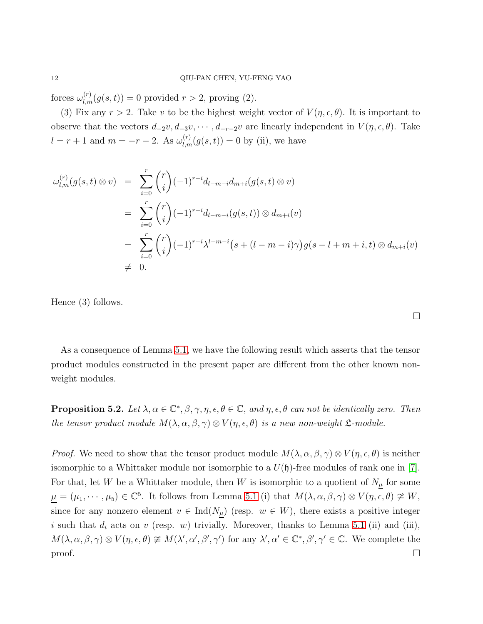forces  $\omega_{l,m}^{(r)}(g(s,t)) = 0$  provided  $r > 2$ , proving (2).

(3) Fix any  $r > 2$ . Take v to be the highest weight vector of  $V(\eta, \epsilon, \theta)$ . It is important to observe that the vectors  $d_{-2}v, d_{-3}v, \cdots, d_{-r-2}v$  are linearly independent in  $V(\eta, \epsilon, \theta)$ . Take  $l = r + 1$  and  $m = -r - 2$ . As  $\omega_{l,m}^{(r)}(g(s,t)) = 0$  by (ii), we have

$$
\omega_{l,m}^{(r)}(g(s,t) \otimes v) = \sum_{i=0}^{r} {r \choose i} (-1)^{r-i} d_{l-m-i} d_{m+i}(g(s,t) \otimes v)
$$
  
= 
$$
\sum_{i=0}^{r} {r \choose i} (-1)^{r-i} d_{l-m-i}(g(s,t)) \otimes d_{m+i}(v)
$$
  
= 
$$
\sum_{i=0}^{r} {r \choose i} (-1)^{r-i} \lambda^{l-m-i} (s + (l-m-i)\gamma) g(s-l+m+i, t) \otimes d_{m+i}(v)
$$
  

$$
\neq 0.
$$

Hence (3) follows.

| As a consequence of Lemma 5.1, we have the following result which asserts that the tensor |
|-------------------------------------------------------------------------------------------|
| product modules constructed in the present paper are different from the other known non-  |
| weight modules.                                                                           |

**Proposition 5.2.** Let  $\lambda, \alpha \in \mathbb{C}^*, \beta, \gamma, \eta, \epsilon, \theta \in \mathbb{C}$ , and  $\eta, \epsilon, \theta$  can not be identically zero. Then *the tensor product module*  $M(\lambda, \alpha, \beta, \gamma) \otimes V(\eta, \epsilon, \theta)$  *is a new non-weight*  $\mathfrak{L}$ *-module.* 

*Proof.* We need to show that the tensor product module  $M(\lambda, \alpha, \beta, \gamma) \otimes V(\eta, \epsilon, \theta)$  is neither isomorphic to a Whittaker module nor isomorphic to a  $U(\mathfrak{h})$ -free modules of rank one in [\[7\]](#page-17-0). For that, let W be a Whittaker module, then W is isomorphic to a quotient of  $N_{\mu}$  for some  $\mu = (\mu_1, \cdots, \mu_5) \in \mathbb{C}^5$ . It follows from Lemma [5.1](#page-10-0) (i) that  $M(\lambda, \alpha, \beta, \gamma) \otimes V(\eta, \epsilon, \theta) \ncong W$ , since for any nonzero element  $v \in \text{Ind}(N_{\underline{\mu}})$  (resp.  $w \in W$ ), there exists a positive integer i such that  $d_i$  acts on v (resp. w) trivially. Moreover, thanks to Lemma [5.1](#page-10-0) (ii) and (iii),  $M(\lambda, \alpha, \beta, \gamma) \otimes V(\eta, \epsilon, \theta) \ncong M(\lambda', \alpha', \beta', \gamma')$  for any  $\lambda', \alpha' \in \mathbb{C}^*, \beta', \gamma' \in \mathbb{C}$ . We complete the  $\Box$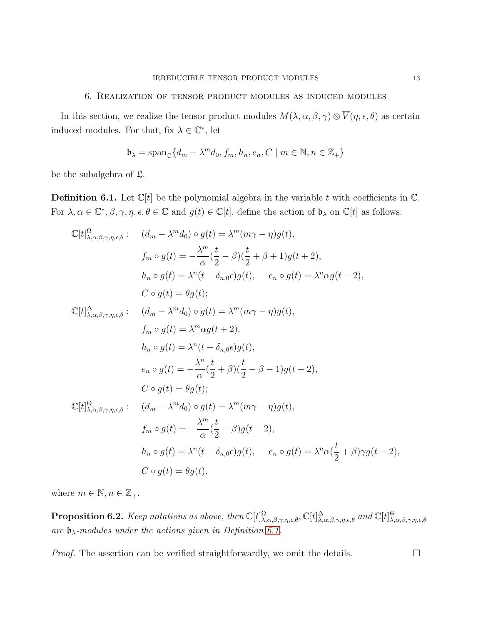## 6. Realization of tensor product modules as induced modules

In this section, we realize the tensor product modules  $M(\lambda, \alpha, \beta, \gamma) \otimes \overline{V}(\eta, \epsilon, \theta)$  as certain induced modules. For that, fix  $\lambda \in \mathbb{C}^*$ , let

$$
\mathfrak{b}_{\lambda} = \text{span}_{\mathbb{C}} \{ d_m - \lambda^m d_0, f_m, h_n, e_n, C \mid m \in \mathbb{N}, n \in \mathbb{Z}_+ \}
$$

be the subalgebra of  $\mathfrak{L}$ .

<span id="page-12-0"></span>**Definition 6.1.** Let  $\mathbb{C}[t]$  be the polynomial algebra in the variable t with coefficients in  $\mathbb{C}$ . For  $\lambda, \alpha \in \mathbb{C}^*, \beta, \gamma, \eta, \epsilon, \theta \in \mathbb{C}$  and  $g(t) \in \mathbb{C}[t]$ , define the action of  $\mathfrak{b}_{\lambda}$  on  $\mathbb{C}[t]$  as follows:

$$
\mathbb{C}[t]_{\lambda,\alpha,\beta,\gamma,\eta,\epsilon,\theta}^{\Omega}:\n\begin{aligned}\n& (d_m - \lambda^m d_0) \circ g(t) = \lambda^m (m\gamma - \eta)g(t), \\
& f_m \circ g(t) = -\frac{\lambda^m}{\alpha} (\frac{t}{2} - \beta)(\frac{t}{2} + \beta + 1)g(t + 2), \\
& h_n \circ g(t) = \lambda^n (t + \delta_{n,0}\epsilon)g(t), \quad e_n \circ g(t) = \lambda^n \alpha g(t - 2), \\
& C \circ g(t) = \theta g(t); \\
& \mathbb{C}[t]_{\lambda,\alpha,\beta,\gamma,\eta,\epsilon,\theta}^{\Delta}:\n\begin{aligned}\n& (d_m - \lambda^m d_0) \circ g(t) = \lambda^m (m\gamma - \eta)g(t), \\
& f_m \circ g(t) = \lambda^m \alpha g(t + 2), \\
& h_n \circ g(t) = \lambda^n (t + \delta_{n,0}\epsilon)g(t), \\
& e_n \circ g(t) = -\frac{\lambda^n}{\alpha} (\frac{t}{2} + \beta)(\frac{t}{2} - \beta - 1)g(t - 2), \\
& C \circ g(t) = \theta g(t); \\
& \mathbb{C}[t]_{\lambda,\alpha,\beta,\gamma,\eta,\epsilon,\theta}^{\Omega}:\n\begin{aligned}\n& (d_m - \lambda^m d_0) \circ g(t) = \lambda^m (m\gamma - \eta)g(t), \\
& f_m \circ g(t) = -\frac{\lambda^m}{\alpha} (\frac{t}{2} - \beta)g(t + 2), \\
& h_n \circ g(t) = \lambda^n (t + \delta_{n,0}\epsilon)g(t), \quad e_n \circ g(t) = \lambda^n \alpha(\frac{t}{2} + \beta)\gamma g(t - 2), \\
& C \circ g(t) = \theta g(t).\n\end{aligned}
$$

where  $m \in \mathbb{N}, n \in \mathbb{Z}_+$ .

**Proposition 6.2.** *Keep notations as above, then*  $\mathbb{C}[t]^{\Omega}_{\lambda,\alpha,\beta,\gamma,\eta,\epsilon,\theta}$ ,  $\mathbb{C}[t]^{\Delta}_{\lambda,\alpha,\beta,\gamma,\eta,\epsilon,\theta}$  and  $\mathbb{C}[t]^{\Theta}_{\lambda,\alpha,\beta,\gamma,\eta,\epsilon,\theta}$  $\alpha$ *are*  $\mathfrak{b}_{\lambda}$ *-modules under the actions given in Definition [6.1.](#page-12-0)* 

*Proof.* The assertion can be verified straightforwardly, we omit the details.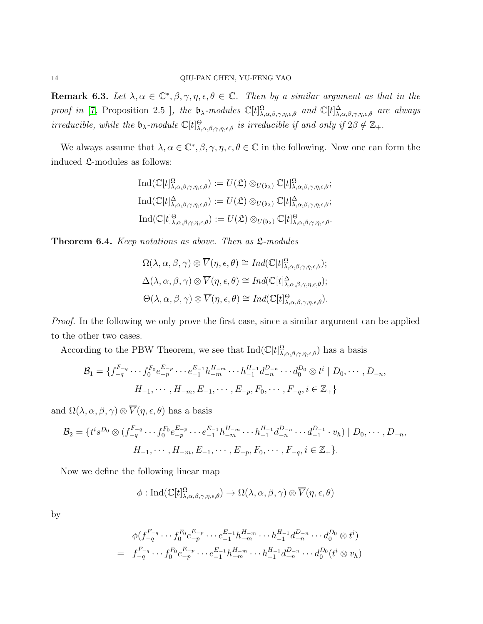**Remark 6.3.** Let  $\lambda, \alpha \in \mathbb{C}^*, \beta, \gamma, \eta, \epsilon, \theta \in \mathbb{C}$ . Then by a similar argument as that in the *proof in* [\[7,](#page-17-0) Proposition 2.5 ], the  $\mathfrak{b}_{\lambda}$ -modules  $\mathbb{C}[t]_{\lambda,\alpha,\beta,\gamma,\eta,\epsilon,\theta}^{\Omega}$  and  $\mathbb{C}[t]_{\lambda,\alpha,\beta,\gamma,\eta,\epsilon,\theta}^{\Delta}$  are always *irreducible, while the*  $\mathfrak{b}_{\lambda}$ *-module*  $\mathbb{C}[t]_{\lambda,\alpha,\beta,\gamma,\eta,\epsilon,\theta}^{\Theta}$  *is irreducible if and only if*  $2\beta \notin \mathbb{Z}_+$ *.* 

We always assume that  $\lambda, \alpha \in \mathbb{C}^*, \beta, \gamma, \eta, \epsilon, \theta \in \mathbb{C}$  in the following. Now one can form the induced L-modules as follows:

$$
\operatorname{Ind}(\mathbb{C}[t]^{\Omega}_{\lambda,\alpha,\beta,\gamma,\eta,\epsilon,\theta}) := U(\mathfrak{L}) \otimes_{U(\mathfrak{b}_{\lambda})} \mathbb{C}[t]^{\Omega}_{\lambda,\alpha,\beta,\gamma,\eta,\epsilon,\theta};
$$
  

$$
\operatorname{Ind}(\mathbb{C}[t]^{\Delta}_{\lambda,\alpha,\beta,\gamma,\eta,\epsilon,\theta}) := U(\mathfrak{L}) \otimes_{U(\mathfrak{b}_{\lambda})} \mathbb{C}[t]^{\Delta}_{\lambda,\alpha,\beta,\gamma,\eta,\epsilon,\theta};
$$
  

$$
\operatorname{Ind}(\mathbb{C}[t]^{\Theta}_{\lambda,\alpha,\beta,\gamma,\eta,\epsilon,\theta}) := U(\mathfrak{L}) \otimes_{U(\mathfrak{b}_{\lambda})} \mathbb{C}[t]^{\Theta}_{\lambda,\alpha,\beta,\gamma,\eta,\epsilon,\theta}.
$$

<span id="page-13-0"></span>Theorem 6.4. *Keep notations as above. Then as* L*-modules*

$$
\Omega(\lambda, \alpha, \beta, \gamma) \otimes \overline{V}(\eta, \epsilon, \theta) \cong Ind(\mathbb{C}[t]_{\lambda, \alpha, \beta, \gamma, \eta, \epsilon, \theta}^{\Omega});
$$
  

$$
\Delta(\lambda, \alpha, \beta, \gamma) \otimes \overline{V}(\eta, \epsilon, \theta) \cong Ind(\mathbb{C}[t]_{\lambda, \alpha, \beta, \gamma, \eta, \epsilon, \theta}^{\Delta});
$$
  

$$
\Theta(\lambda, \alpha, \beta, \gamma) \otimes \overline{V}(\eta, \epsilon, \theta) \cong Ind(\mathbb{C}[t]_{\lambda, \alpha, \beta, \gamma, \eta, \epsilon, \theta}^{\Theta}).
$$

*Proof.* In the following we only prove the first case, since a similar argument can be applied to the other two cases.

According to the PBW Theorem, we see that  $Ind(C[t]^{\Omega}_{\lambda,\alpha,\beta,\gamma,\eta,\epsilon,\theta})$  has a basis

$$
\mathcal{B}_1 = \{ f_{-q}^{F_{-q}} \cdots f_0^{F_0} e_{-p}^{E_{-p}} \cdots e_{-1}^{E_{-1}} h_{-m}^{H_{-m}} \cdots h_{-1}^{H_{-1}} d_{-n}^{D_{-n}} \cdots d_0^{D_0} \otimes t^i \mid D_0, \cdots, D_{-n}, H_{-1}, \cdots, H_{-m}, E_{-1}, \cdots, E_{-p}, F_0, \cdots, F_{-q}, i \in \mathbb{Z}_+ \}
$$

and  $\Omega(\lambda, \alpha, \beta, \gamma) \otimes \overline{V}(\eta, \epsilon, \theta)$  has a basis

$$
\mathcal{B}_2 = \{ t^i s^{D_0} \otimes (f_{-q}^{F_{-q}} \cdots f_0^{F_0} e_{-p}^{E_{-p}} \cdots e_{-1}^{E_{-1}} h_{-m}^{H_{-m}} \cdots h_{-1}^{H_{-1}} d_{-n}^{D_{-n}} \cdots d_{-1}^{D_{-1}} \cdot v_h) \mid D_0, \cdots, D_{-n}, \nH_{-1}, \cdots, H_{-m}, E_{-1}, \cdots, E_{-p}, F_0, \cdots, F_{-q}, i \in \mathbb{Z}_+ \}.
$$

Now we define the following linear map

$$
\phi: \mathrm{Ind}(\mathbb{C}[t]^{\Omega}_{\lambda,\alpha,\beta,\gamma,\eta,\epsilon,\theta}) \to \Omega(\lambda,\alpha,\beta,\gamma) \otimes \overline{V}(\eta,\epsilon,\theta)
$$

by

$$
\phi(f_{-q}^{F_{-q}} \cdots f_0^{F_0} e_{-p}^{E_{-p}} \cdots e_{-1}^{E_{-1}} h_{-m}^{H_{-m}} \cdots h_{-1}^{H_{-1}} d_{-n}^{D_{-n}} \cdots d_0^{D_0} \otimes t^i)
$$
  
=  $f_{-q}^{F_{-q}} \cdots f_0^{F_0} e_{-p}^{E_{-p}} \cdots e_{-1}^{E_{-1}} h_{-m}^{H_{-m}} \cdots h_{-1}^{H_{-1}} d_{-n}^{D_{-n}} \cdots d_0^{D_0} (t^i \otimes v_h)$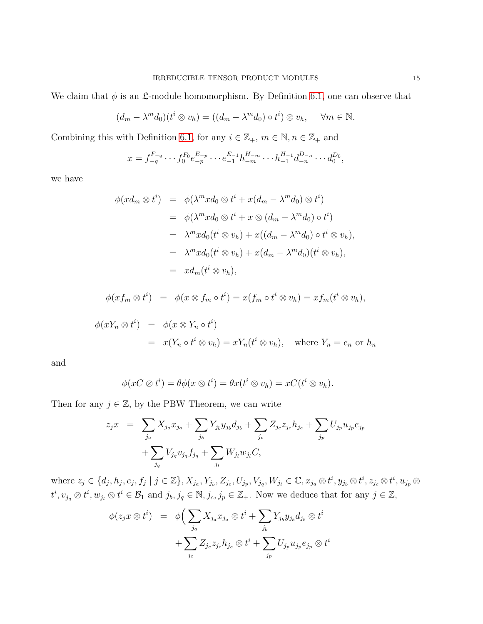We claim that  $\phi$  is an  $\mathfrak{L}$ -module homomorphism. By Definition [6.1,](#page-12-0) one can observe that

$$
(d_m - \lambda^m d_0)(t^i \otimes v_h) = ((d_m - \lambda^m d_0) \circ t^i) \otimes v_h, \quad \forall m \in \mathbb{N}.
$$

Combining this with Definition [6.1,](#page-12-0) for any  $i\in\mathbb{Z}_{+},$   $m\in\mathbb{N}, n\in\mathbb{Z}_{+}$  and

$$
x = f_{-q}^{F_{-q}} \cdots f_0^{F_0} e_{-p}^{E_{-p}} \cdots e_{-1}^{E_{-1}} h_{-m}^{H_{-m}} \cdots h_{-1}^{H_{-1}} d_{-n}^{D_{-n}} \cdots d_0^{D_0},
$$

we have

$$
\begin{array}{rcl}\n\phi(xd_m \otimes t^i) & = & \phi(\lambda^m x d_0 \otimes t^i + x(d_m - \lambda^m d_0) \otimes t^i) \\
& = & \phi(\lambda^m x d_0 \otimes t^i + x \otimes (d_m - \lambda^m d_0) \circ t^i) \\
& = & \lambda^m x d_0(t^i \otimes v_h) + x((d_m - \lambda^m d_0) \circ t^i \otimes v_h), \\
& = & \lambda^m x d_0(t^i \otimes v_h) + x(d_m - \lambda^m d_0)(t^i \otimes v_h), \\
& = & x d_m(t^i \otimes v_h),\n\end{array}
$$

$$
\phi(xf_m \otimes t^i) = \phi(x \otimes f_m \circ t^i) = x(f_m \circ t^i \otimes v_h) = xf_m(t^i \otimes v_h),
$$

$$
\begin{array}{rcl}\n\phi(xY_n \otimes t^i) & = & \phi(x \otimes Y_n \circ t^i) \\
& = & x(Y_n \circ t^i \otimes v_h) = xY_n(t^i \otimes v_h), \quad \text{where } Y_n = e_n \text{ or } h_n\n\end{array}
$$

and

$$
\phi(xC\otimes t^i)=\theta\phi(x\otimes t^i)=\theta x(t^i\otimes v_h)=xC(t^i\otimes v_h).
$$

Then for any  $j \in \mathbb{Z}$ , by the PBW Theorem, we can write

$$
z_j x = \sum_{j_a} X_{j_a} x_{j_a} + \sum_{j_b} Y_{j_b} y_{j_b} d_{j_b} + \sum_{j_c} Z_{j_c} z_{j_c} h_{j_c} + \sum_{j_p} U_{j_p} u_{j_p} e_{j_p} + \sum_{j_q} V_{j_q} v_{j_q} f_{j_q} + \sum_{j_l} W_{j_l} w_{j_l} C,
$$

where  $z_j \in \{d_j, h_j, e_j, f_j \mid j \in \mathbb{Z}\}, X_{j_a}, Y_{j_b}, Z_{j_c}, U_{j_p}, V_{j_q}, W_{j_l} \in \mathbb{C}, x_{j_a} \otimes t^i, y_{j_b} \otimes t^i, z_{j_c} \otimes t^i, u_{j_p} \otimes t^i, u_{j_p} \otimes t^i, u_{j_p} \otimes t^i, u_{j_p} \otimes t^i, u_{j_p} \otimes t^i, u_{j_p} \otimes t^i, u_{j_p} \otimes t^i, u_{j_p} \otimes t^i, u_{j_p} \otimes t^i, u_{j$  $t^i, v_{j_q} \otimes t^i, w_{j_l} \otimes t^i \in \mathcal{B}_1$  and  $j_b, j_q \in \mathbb{N}, j_c, j_p \in \mathbb{Z}_+$ . Now we deduce that for any  $j \in \mathbb{Z}$ ,

$$
\phi(z_j x \otimes t^i) = \phi\left(\sum_{j_a} X_{j_a} x_{j_a} \otimes t^i + \sum_{j_b} Y_{j_b} y_{j_b} d_{j_b} \otimes t^i + \sum_{j_c} Z_{j_c} z_{j_c} h_{j_c} \otimes t^i + \sum_{j_p} U_{j_p} u_{j_p} e_{j_p} \otimes t^i\right)
$$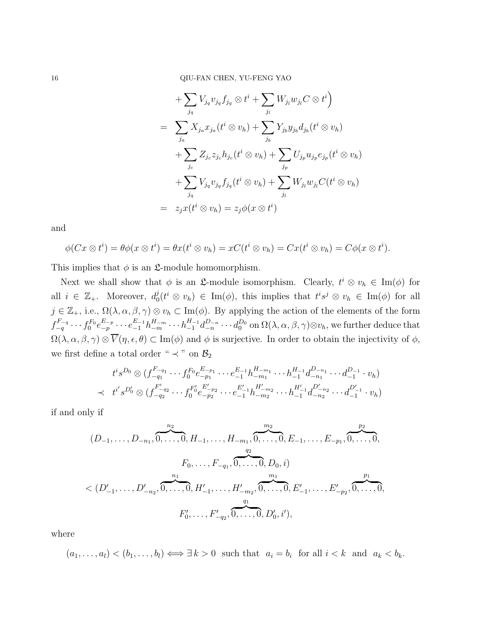$$
+\sum_{j_q} V_{j_q} v_{j_q} f_{j_q} \otimes t^i + \sum_{j_l} W_{j_l} w_{j_l} C \otimes t^i
$$
  
= 
$$
\sum_{j_a} X_{j_a} x_{j_a} (t^i \otimes v_h) + \sum_{j_b} Y_{j_b} y_{j_b} d_{j_b} (t^i \otimes v_h)
$$
  
+ 
$$
\sum_{j_c} Z_{j_c} z_{j_c} h_{j_c} (t^i \otimes v_h) + \sum_{j_p} U_{j_p} u_{j_p} e_{j_p} (t^i \otimes v_h)
$$
  
+ 
$$
\sum_{j_q} V_{j_q} v_{j_q} f_{j_q} (t^i \otimes v_h) + \sum_{j_l} W_{j_l} w_{j_l} C(t^i \otimes v_h)
$$
  
= 
$$
z_j x(t^i \otimes v_h) = z_j \phi(x \otimes t^i)
$$

and

$$
\phi(Cx \otimes t^i) = \theta \phi(x \otimes t^i) = \theta x(t^i \otimes v_h) = xC(t^i \otimes v_h) = Cx(t^i \otimes v_h) = C\phi(x \otimes t^i).
$$

This implies that  $\phi$  is an  $\mathfrak{L}\text{-module homomorphism.}$ 

Next we shall show that  $\phi$  is an **£**-module isomorphism. Clearly,  $t^i \otimes v_h \in \text{Im}(\phi)$  for all  $i \in \mathbb{Z}_+$ . Moreover,  $d_0^j$  $v_0^j(t^i \otimes v_h) \in \text{Im}(\phi)$ , this implies that  $t^i s^j \otimes v_h \in \text{Im}(\phi)$  for all  $j \in \mathbb{Z}_+$ , i.e.,  $\Omega(\lambda, \alpha, \beta, \gamma) \otimes v_h \subset \text{Im}(\phi)$ . By applying the action of the elements of the form  $f_{-q}^{F_{-q}} \cdots f_0^{F_0}$  $e_{-p}^{F_0}e_{-p}^{E_{-p}}\cdots e_{-1}^{E_{-1}}h_{-m}^{H_{-m}}\cdots h_{-1}^{H_{-1}}d_{-n}^{D_{-n}}\cdots d_0^{D_0}$  on  $\Omega(\lambda,\alpha,\beta,\gamma) \otimes v_h,$  we further deduce that  $\Omega(\lambda, \alpha, \beta, \gamma) \otimes \overline{V}(\eta, \epsilon, \theta) \subset \text{Im}(\phi)$  and  $\phi$  is surjective. In order to obtain the injectivity of  $\phi$ , we first define a total order "  $\prec$  " on  $\mathcal{B}_2$ 

$$
t^{i}s^{D_{0}} \otimes (f_{-q_{1}}^{F_{-q_{1}}}\cdots f_{0}^{F_{0}}e_{-p_{1}}^{E_{-p_{1}}}\cdots e_{-1}^{E_{-1}}h_{-m_{1}}^{H_{-m_{1}}}\cdots h_{-1}^{H_{-1}}d_{-n_{1}}^{D_{-n_{1}}}\cdots d_{-1}^{D_{-1}}\cdot v_{h})
$$
  

$$
\prec t^{i'}s^{D_{0}'} \otimes (f_{-q_{2}}^{F_{-q_{2}}'}\cdots f_{0}^{F_{0}'}e_{-p_{2}}^{E_{-p_{2}}'}\cdots e_{-1}^{E_{-1}'}h_{-m_{2}}^{H_{-m_{2}}'}\cdots h_{-1}^{H_{-1}'}d_{-n_{2}}^{D_{-n_{2}}'}\cdots d_{-1}^{D_{-1}'}\cdot v_{h})
$$

if and only if

$$
(D_{-1},\ldots,D_{-n_1},\overbrace{0,\ldots,0}^{n_2},H_{-1},\ldots,H_{-m_1},\overbrace{0,\ldots,0}^{m_2},E_{-1},\ldots,E_{-p_1},\overbrace{0,\ldots,0}^{p_2},
$$
  
\n
$$
\leq (D'_{-1},\ldots,D'_{-n_2},\overbrace{0,\ldots,0}^{n_1},H'_{-1},\ldots,H'_{-m_2},\overbrace{0,\ldots,0}^{m_1},E'_{-1},\ldots,E'_{-p_2},\overbrace{0,\ldots,0}^{p_1},
$$
  
\n
$$
F'_{0},\ldots,F'_{-q_2},\overbrace{0,\ldots,0}^{q_1},D'_{0},i'),
$$

where

 $(a_1, \ldots, a_l) < (b_1, \ldots, b_l) \Longleftrightarrow \exists k > 0$  such that  $a_i = b_i$  for all  $i < k$  and  $a_k < b_k$ .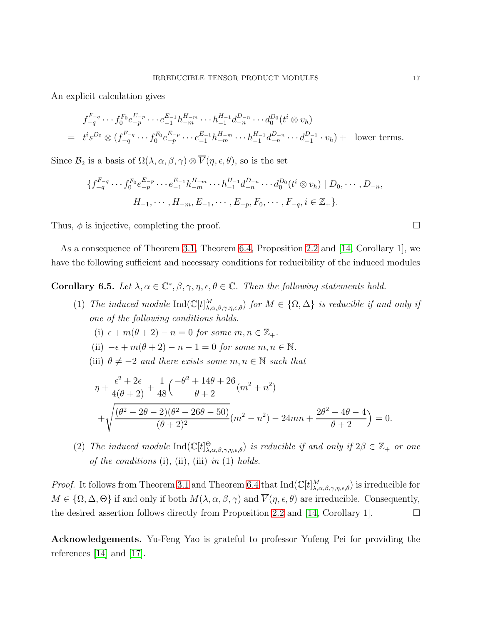An explicit calculation gives

$$
f_{-q}^{F_{-q}} \cdots f_0^{F_0} e_{-p}^{E_{-p}} \cdots e_{-1}^{E_{-1}} h_{-m}^{H_{-m}} \cdots h_{-1}^{H_{-1}} d_{-n}^{D_{-n}} \cdots d_0^{D_0} (t^i \otimes v_h)
$$
  
=  $t^i s^{D_0} \otimes (f_{-q}^{F_{-q}} \cdots f_0^{F_0} e_{-p}^{E_{-p}} \cdots e_{-1}^{E_{-1}} h_{-m}^{H_{-m}} \cdots h_{-1}^{H_{-1}} d_{-n}^{D_{-n}} \cdots d_{-1}^{D_{-1}} \cdot v_h) + \text{ lower terms.}$ 

Since  $\mathcal{B}_2$  is a basis of  $\Omega(\lambda, \alpha, \beta, \gamma) \otimes \overline{V}(\eta, \epsilon, \theta)$ , so is the set

$$
\{f_{-q}^{F_{-q}}\cdots f_0^{F_0}e_{-p}^{E_{-p}}\cdots e_{-1}^{E_{-1}}h_{-m}^{H_{-m}}\cdots h_{-1}^{H_{-1}}d_{-n}^{D_{-n}}\cdots d_0^{D_0}(t^i\otimes v_h) \mid D_0,\cdots,D_{-n},H_{-1},\cdots,H_{-m},E_{-1},\cdots,E_{-p},F_0,\cdots,F_{-q},i\in\mathbb{Z}_+\}.
$$

Thus,  $\phi$  is injective, completing the proof.

As a consequence of Theorem [3.1,](#page-4-2) Theorem [6.4,](#page-13-0) Proposition [2.2](#page-3-0) and [\[14,](#page-17-1) Corollary 1], we have the following sufficient and necessary conditions for reducibility of the induced modules

Corollary 6.5. Let  $\lambda, \alpha \in \mathbb{C}^*, \beta, \gamma, \eta, \epsilon, \theta \in \mathbb{C}$ . Then the following statements hold.

- (1) *The induced module*  $\text{Ind}(\mathbb{C}[t]^M_{\lambda,\alpha,\beta,\gamma,\eta,\epsilon,\theta})$  *for*  $M \in \{\Omega,\Delta\}$  *is reducible if and only if one of the following conditions holds.*
	- (i)  $\epsilon + m(\theta + 2) n = 0$  *for some*  $m, n \in \mathbb{Z}_+$ .
	- (ii)  $-\epsilon + m(\theta + 2) n 1 = 0$  *for some*  $m, n \in \mathbb{N}$ *.*
	- (iii)  $\theta \neq -2$  *and there exists some*  $m, n \in \mathbb{N}$  *such that*

$$
\eta + \frac{\epsilon^2 + 2\epsilon}{4(\theta + 2)} + \frac{1}{48} \left( \frac{-\theta^2 + 14\theta + 26}{\theta + 2} (m^2 + n^2) + \sqrt{\frac{(\theta^2 - 2\theta - 2)(\theta^2 - 26\theta - 50)}{(\theta + 2)^2}} (m^2 - n^2) - 24mn + \frac{2\theta^2 - 4\theta - 4}{\theta + 2} \right) = 0.
$$

(2) *The induced module*  $\text{Ind}(\mathbb{C}[t]_{\lambda,\alpha,\beta,\gamma,\eta,\epsilon,\theta}^{\Theta})$  *is reducible if and only if*  $2\beta \in \mathbb{Z}_+$  *or one of the conditions* (i), (ii), (iii) *in* (1) *holds.*

*Proof.* It follows from Theorem [3.1](#page-4-2) and Theorem [6.4](#page-13-0) that  $Ind(C[t]^M_{\lambda,\alpha,\beta,\gamma,\eta,\epsilon,\theta})$  is irreducible for  $M \in \{\Omega, \Delta, \Theta\}$  if and only if both  $M(\lambda, \alpha, \beta, \gamma)$  and  $\overline{V}(\eta, \epsilon, \theta)$  are irreducible. Consequently, the desired assertion follows directly from Proposition [2.2](#page-3-0) and [\[14,](#page-17-1) Corollary 1].  $\Box$ 

Acknowledgements. Yu-Feng Yao is grateful to professor Yufeng Pei for providing the references [\[14\]](#page-17-1) and [\[17\]](#page-17-7).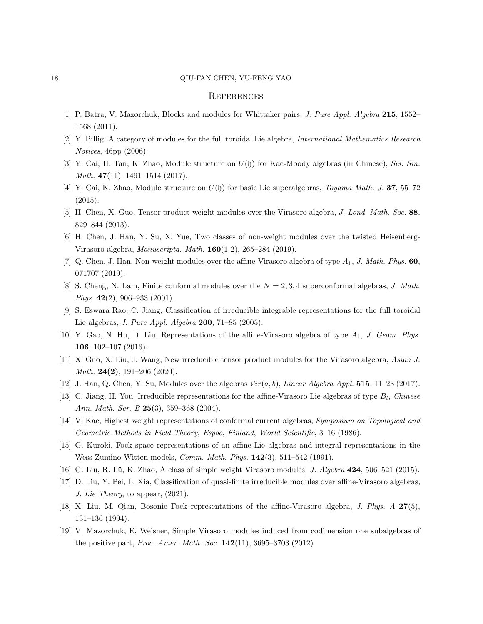#### 18 QIU-FAN CHEN, YU-FENG YAO

## **REFERENCES**

- <span id="page-17-3"></span>[1] P. Batra, V. Mazorchuk, Blocks and modules for Whittaker pairs, J. Pure Appl. Algebra 215, 1552– 1568 (2011).
- <span id="page-17-11"></span>[2] Y. Billig, A category of modules for the full toroidal Lie algebra, International Mathematics Research Notices, 46pp (2006).
- <span id="page-17-12"></span>[3] Y. Cai, H. Tan, K. Zhao, Module structure on  $U(\mathfrak{h})$  for Kac-Moody algebras (in Chinese), Sci. Sin. *Math.* 47(11), 1491–1514 (2017).
- <span id="page-17-15"></span>[4] Y. Cai, K. Zhao, Module structure on  $U(\mathfrak{h})$  for basic Lie superalgebras, Toyama Math. J. 37, 55–72 (2015).
- <span id="page-17-16"></span>[5] H. Chen, X. Guo, Tensor product weight modules over the Virasoro algebra, J. Lond. Math. Soc. 88, 829–844 (2013).
- <span id="page-17-0"></span>[6] H. Chen, J. Han, Y. Su, X. Yue, Two classes of non-weight modules over the twisted Heisenberg-Virasoro algebra, Manuscripta. Math. 160(1-2), 265–284 (2019).
- <span id="page-17-8"></span>[7] Q. Chen, J. Han, Non-weight modules over the affine-Virasoro algebra of type  $A_1$ , J. Math. Phys. 60, 071707 (2019).
- <span id="page-17-4"></span>[8] S. Cheng, N. Lam, Finite conformal modules over the  $N = 2, 3, 4$  superconformal algebras, J. Math. Phys. 42(2), 906–933 (2001).
- <span id="page-17-9"></span>[9] S. Eswara Rao, C. Jiang, Classification of irreducible integrable representations for the full toroidal Lie algebras, J. Pure Appl. Algebra 200, 71–85 (2005).
- <span id="page-17-17"></span>[10] Y. Gao, N. Hu, D. Liu, Representations of the affine-Virasoro algebra of type  $A_1$ , J. Geom. Phys. 106, 102–107 (2016).
- <span id="page-17-13"></span>[11] X. Guo, X. Liu, J. Wang, New irreducible tensor product modules for the Virasoro algebra, Asian J. Math.  $24(2)$ , 191-206 (2020).
- <span id="page-17-5"></span>[12] J. Han, Q. Chen, Y. Su, Modules over the algebras  $Vir(a, b)$ , Linear Algebra Appl. 515, 11–23 (2017).
- <span id="page-17-1"></span>[13] C. Jiang, H. You, Irreducible representations for the affine-Virasoro Lie algebras of type  $B_l$ , Chinese Ann. Math. Ser. B  $25(3)$ , 359-368 (2004).
- <span id="page-17-2"></span>[14] V. Kac, Highest weight representations of conformal current algebras, Symposium on Topological and Geometric Methods in Field Theory, Espoo, Finland, World Scientific, 3–16 (1986).
- <span id="page-17-18"></span>[15] G. Kuroki, Fock space representations of an affine Lie algebras and integral representations in the Wess-Zumino-Witten models, *Comm. Math. Phys.*  $142(3)$ ,  $511-542$  (1991).
- <span id="page-17-7"></span>[16] G. Liu, R. Lü, K. Zhao, A class of simple weight Virasoro modules, J. Algebra  $424$ , 506–521 (2015).
- <span id="page-17-6"></span>[17] D. Liu, Y. Pei, L. Xia, Classification of quasi-finite irreducible modules over affine-Virasoro algebras, J. Lie Theory, to appear, (2021).
- <span id="page-17-14"></span>[18] X. Liu, M. Qian, Bosonic Fock representations of the affine-Virasoro algebra, J. Phys. A 27(5), 131–136 (1994).
- [19] V. Mazorchuk, E. Weisner, Simple Virasoro modules induced from codimension one subalgebras of the positive part, *Proc. Amer. Math. Soc.*  $142(11)$ ,  $3695-3703$  (2012).

<span id="page-17-10"></span>